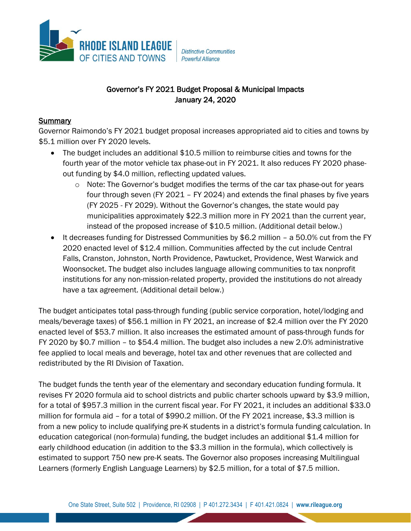

**Distinctive Communities** Powerful Alliance

# Governor's FY 2021 Budget Proposal & Municipal Impacts January 24, 2020

## **Summary**

Governor Raimondo's FY 2021 budget proposal increases appropriated aid to cities and towns by \$5.1 million over FY 2020 levels.

- The budget includes an additional \$10.5 million to reimburse cities and towns for the fourth year of the motor vehicle tax phase-out in FY 2021. It also reduces FY 2020 phaseout funding by \$4.0 million, reflecting updated values.
	- o Note: The Governor's budget modifies the terms of the car tax phase-out for years four through seven (FY 2021 – FY 2024) and extends the final phases by five years (FY 2025 - FY 2029). Without the Governor's changes, the state would pay municipalities approximately \$22.3 million more in FY 2021 than the current year, instead of the proposed increase of \$10.5 million. (Additional detail below.)
- It decreases funding for Distressed Communities by \$6.2 million a 50.0% cut from the FY 2020 enacted level of \$12.4 million. Communities affected by the cut include Central Falls, Cranston, Johnston, North Providence, Pawtucket, Providence, West Warwick and Woonsocket. The budget also includes language allowing communities to tax nonprofit institutions for any non-mission-related property, provided the institutions do not already have a tax agreement. (Additional detail below.)

The budget anticipates total pass-through funding (public service corporation, hotel/lodging and meals/beverage taxes) of \$56.1 million in FY 2021, an increase of \$2.4 million over the FY 2020 enacted level of \$53.7 million. It also increases the estimated amount of pass-through funds for FY 2020 by \$0.7 million – to \$54.4 million. The budget also includes a new 2.0% administrative fee applied to local meals and beverage, hotel tax and other revenues that are collected and redistributed by the RI Division of Taxation.

The budget funds the tenth year of the elementary and secondary education funding formula. It revises FY 2020 formula aid to school districts and public charter schools upward by \$3.9 million, for a total of \$957.3 million in the current fiscal year. For FY 2021, it includes an additional \$33.0 million for formula aid – for a total of \$990.2 million. Of the FY 2021 increase, \$3.3 million is from a new policy to include qualifying pre-K students in a district's formula funding calculation. In education categorical (non-formula) funding, the budget includes an additional \$1.4 million for early childhood education (in addition to the \$3.3 million in the formula), which collectively is estimated to support 750 new pre-K seats. The Governor also proposes increasing Multilingual Learners (formerly English Language Learners) by \$2.5 million, for a total of \$7.5 million.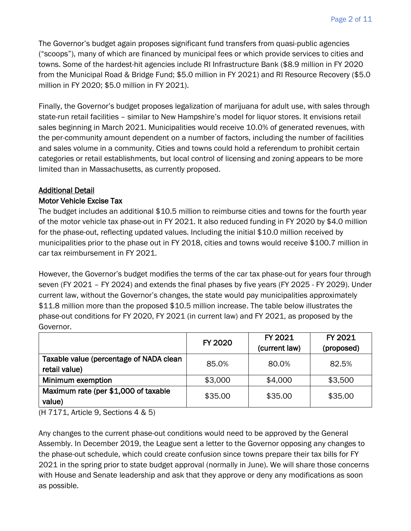The Governor's budget again proposes significant fund transfers from quasi-public agencies ("scoops"), many of which are financed by municipal fees or which provide services to cities and towns. Some of the hardest-hit agencies include RI Infrastructure Bank (\$8.9 million in FY 2020 from the Municipal Road & Bridge Fund; \$5.0 million in FY 2021) and RI Resource Recovery (\$5.0 million in FY 2020; \$5.0 million in FY 2021).

Finally, the Governor's budget proposes legalization of marijuana for adult use, with sales through state-run retail facilities – similar to New Hampshire's model for liquor stores. It envisions retail sales beginning in March 2021. Municipalities would receive 10.0% of generated revenues, with the per-community amount dependent on a number of factors, including the number of facilities and sales volume in a community. Cities and towns could hold a referendum to prohibit certain categories or retail establishments, but local control of licensing and zoning appears to be more limited than in Massachusetts, as currently proposed.

#### Additional Detail

#### Motor Vehicle Excise Tax

The budget includes an additional \$10.5 million to reimburse cities and towns for the fourth year of the motor vehicle tax phase-out in FY 2021. It also reduced funding in FY 2020 by \$4.0 million for the phase-out, reflecting updated values. Including the initial \$10.0 million received by municipalities prior to the phase out in FY 2018, cities and towns would receive \$100.7 million in car tax reimbursement in FY 2021.

However, the Governor's budget modifies the terms of the car tax phase-out for years four through seven (FY 2021 – FY 2024) and extends the final phases by five years (FY 2025 - FY 2029). Under current law, without the Governor's changes, the state would pay municipalities approximately \$11.8 million more than the proposed \$10.5 million increase. The table below illustrates the phase-out conditions for FY 2020, FY 2021 (in current law) and FY 2021, as proposed by the Governor.

|                                                          | FY 2020 | FY 2021<br>(current law) | FY 2021<br>(proposed) |
|----------------------------------------------------------|---------|--------------------------|-----------------------|
| Taxable value (percentage of NADA clean<br>retail value) | 85.0%   | 80.0%                    | 82.5%                 |
| Minimum exemption                                        | \$3,000 | \$4,000                  | \$3,500               |
| Maximum rate (per \$1,000 of taxable<br>value)           | \$35.00 | \$35.00                  | \$35.00               |

(H 7171, Article 9, Sections 4 & 5)

Any changes to the current phase-out conditions would need to be approved by the General Assembly. In December 2019, the League sent a letter to the Governor opposing any changes to the phase-out schedule, which could create confusion since towns prepare their tax bills for FY 2021 in the spring prior to state budget approval (normally in June). We will share those concerns with House and Senate leadership and ask that they approve or deny any modifications as soon as possible.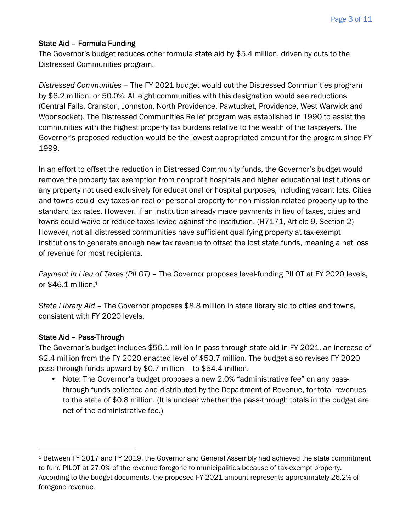## State Aid – Formula Funding

The Governor's budget reduces other formula state aid by \$5.4 million, driven by cuts to the Distressed Communities program.

*Distressed Communities* – The FY 2021 budget would cut the Distressed Communities program by \$6.2 million, or 50.0%. All eight communities with this designation would see reductions (Central Falls, Cranston, Johnston, North Providence, Pawtucket, Providence, West Warwick and Woonsocket). The Distressed Communities Relief program was established in 1990 to assist the communities with the highest property tax burdens relative to the wealth of the taxpayers. The Governor's proposed reduction would be the lowest appropriated amount for the program since FY 1999.

In an effort to offset the reduction in Distressed Community funds, the Governor's budget would remove the property tax exemption from nonprofit hospitals and higher educational institutions on any property not used exclusively for educational or hospital purposes, including vacant lots. Cities and towns could levy taxes on real or personal property for non-mission-related property up to the standard tax rates. However, if an institution already made payments in lieu of taxes, cities and towns could waive or reduce taxes levied against the institution. (H7171, Article 9, Section 2) However, not all distressed communities have sufficient qualifying property at tax-exempt institutions to generate enough new tax revenue to offset the lost state funds, meaning a net loss of revenue for most recipients.

*Payment in Lieu of Taxes (PILOT)* – The Governor proposes level-funding PILOT at FY 2020 levels, or \$46.1 million. 1

*State Library Aid* – The Governor proposes \$8.8 million in state library aid to cities and towns, consistent with FY 2020 levels.

## State Aid – Pass-Through

The Governor's budget includes \$56.1 million in pass-through state aid in FY 2021, an increase of \$2.4 million from the FY 2020 enacted level of \$53.7 million. The budget also revises FY 2020 pass-through funds upward by \$0.7 million – to \$54.4 million.

• Note: The Governor's budget proposes a new 2.0% "administrative fee" on any passthrough funds collected and distributed by the Department of Revenue, for total revenues to the state of \$0.8 million. (It is unclear whether the pass-through totals in the budget are net of the administrative fee.)

<sup>1</sup> Between FY 2017 and FY 2019, the Governor and General Assembly had achieved the state commitment to fund PILOT at 27.0% of the revenue foregone to municipalities because of tax-exempt property. According to the budget documents, the proposed FY 2021 amount represents approximately 26.2% of foregone revenue.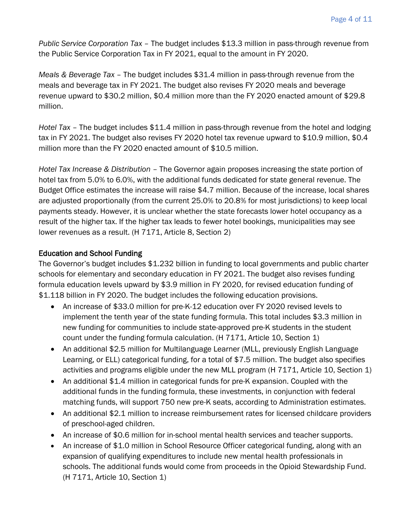*Public Service Corporation Tax* – The budget includes \$13.3 million in pass-through revenue from the Public Service Corporation Tax in FY 2021, equal to the amount in FY 2020.

*Meals & Beverage Tax* – The budget includes \$31.4 million in pass-through revenue from the meals and beverage tax in FY 2021. The budget also revises FY 2020 meals and beverage revenue upward to \$30.2 million, \$0.4 million more than the FY 2020 enacted amount of \$29.8 million.

*Hotel Tax* – The budget includes \$11.4 million in pass-through revenue from the hotel and lodging tax in FY 2021. The budget also revises FY 2020 hotel tax revenue upward to \$10.9 million, \$0.4 million more than the FY 2020 enacted amount of \$10.5 million.

*Hotel Tax Increase & Distribution –* The Governor again proposes increasing the state portion of hotel tax from 5.0% to 6.0%, with the additional funds dedicated for state general revenue. The Budget Office estimates the increase will raise \$4.7 million. Because of the increase, local shares are adjusted proportionally (from the current 25.0% to 20.8% for most jurisdictions) to keep local payments steady. However, it is unclear whether the state forecasts lower hotel occupancy as a result of the higher tax. If the higher tax leads to fewer hotel bookings, municipalities may see lower revenues as a result. (H 7171, Article 8, Section 2)

## Education and School Funding

The Governor's budget includes \$1.232 billion in funding to local governments and public charter schools for elementary and secondary education in FY 2021. The budget also revises funding formula education levels upward by \$3.9 million in FY 2020, for revised education funding of \$1.118 billion in FY 2020. The budget includes the following education provisions.

- An increase of \$33.0 million for pre-K-12 education over FY 2020 revised levels to implement the tenth year of the state funding formula. This total includes \$3.3 million in new funding for communities to include state-approved pre-K students in the student count under the funding formula calculation. (H 7171, Article 10, Section 1)
- An additional \$2.5 million for Multilanguage Learner (MLL, previously English Language Learning, or ELL) categorical funding, for a total of \$7.5 million. The budget also specifies activities and programs eligible under the new MLL program (H 7171, Article 10, Section 1)
- An additional \$1.4 million in categorical funds for pre-K expansion. Coupled with the additional funds in the funding formula, these investments, in conjunction with federal matching funds, will support 750 new pre-K seats, according to Administration estimates.
- An additional \$2.1 million to increase reimbursement rates for licensed childcare providers of preschool-aged children.
- An increase of \$0.6 million for in-school mental health services and teacher supports.
- An increase of \$1.0 million in School Resource Officer categorical funding, along with an expansion of qualifying expenditures to include new mental health professionals in schools. The additional funds would come from proceeds in the Opioid Stewardship Fund. (H 7171, Article 10, Section 1)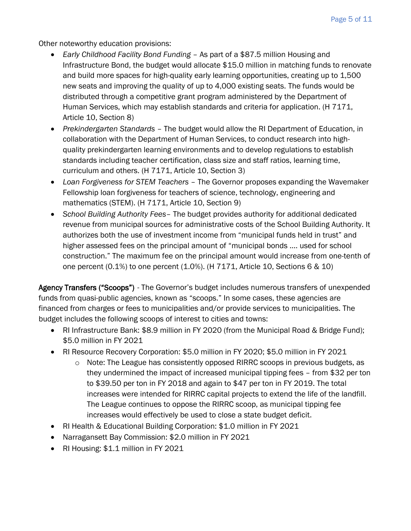Other noteworthy education provisions:

- *Early Childhood Facility Bond Funding* As part of a \$87.5 million Housing and Infrastructure Bond, the budget would allocate \$15.0 million in matching funds to renovate and build more spaces for high-quality early learning opportunities, creating up to 1,500 new seats and improving the quality of up to 4,000 existing seats. The funds would be distributed through a competitive grant program administered by the Department of Human Services, which may establish standards and criteria for application. (H 7171, Article 10, Section 8)
- *Prekindergarten Standards* The budget would allow the RI Department of Education, in collaboration with the Department of Human Services, to conduct research into highquality prekindergarten learning environments and to develop regulations to establish standards including teacher certification, class size and staff ratios, learning time, curriculum and others. (H 7171, Article 10, Section 3)
- *Loan Forgiveness for STEM Teachers* The Governor proposes expanding the Wavemaker Fellowship loan forgiveness for teachers of science, technology, engineering and mathematics (STEM). (H 7171, Article 10, Section 9)
- *School Building Authority Fees* The budget provides authority for additional dedicated revenue from municipal sources for administrative costs of the School Building Authority. It authorizes both the use of investment income from "municipal funds held in trust" and higher assessed fees on the principal amount of "municipal bonds …. used for school construction." The maximum fee on the principal amount would increase from one-tenth of one percent  $(0.1\%)$  to one percent  $(1.0\%)$ . (H  $7171$ , Article 10, Sections 6 & 10)

Agency Transfers ("Scoops") - The Governor's budget includes numerous transfers of unexpended funds from quasi-public agencies, known as "scoops." In some cases, these agencies are financed from charges or fees to municipalities and/or provide services to municipalities. The budget includes the following scoops of interest to cities and towns:

- RI Infrastructure Bank: \$8.9 million in FY 2020 (from the Municipal Road & Bridge Fund); \$5.0 million in FY 2021
- RI Resource Recovery Corporation: \$5.0 million in FY 2020; \$5.0 million in FY 2021
	- $\circ$  Note: The League has consistently opposed RIRRC scoops in previous budgets, as they undermined the impact of increased municipal tipping fees – from \$32 per ton to \$39.50 per ton in FY 2018 and again to \$47 per ton in FY 2019. The total increases were intended for RIRRC capital projects to extend the life of the landfill. The League continues to oppose the RIRRC scoop, as municipal tipping fee increases would effectively be used to close a state budget deficit.
- RI Health & Educational Building Corporation: \$1.0 million in FY 2021
- Narragansett Bay Commission: \$2.0 million in FY 2021
- RI Housing: \$1.1 million in FY 2021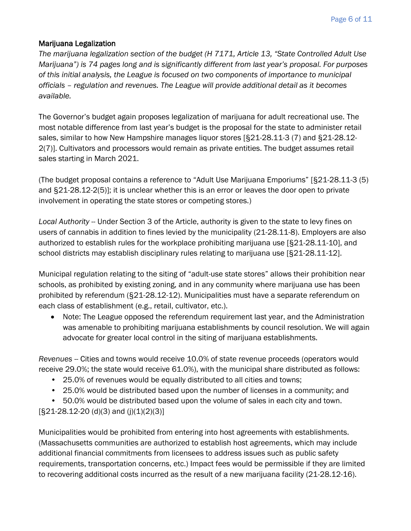## Marijuana Legalization

*The marijuana legalization section of the budget (H 7171, Article 13, "State Controlled Adult Use Marijuana") is 74 pages long and is significantly different from last year's proposal. For purposes of this initial analysis, the League is focused on two components of importance to municipal officials – regulation and revenues. The League will provide additional detail as it becomes available.*

The Governor's budget again proposes legalization of marijuana for adult recreational use. The most notable difference from last year's budget is the proposal for the state to administer retail sales, similar to how New Hampshire manages liquor stores [§21-28.11-3 (7) and §21-28.12- 2(7)]. Cultivators and processors would remain as private entities. The budget assumes retail sales starting in March 2021.

(The budget proposal contains a reference to "Adult Use Marijuana Emporiums" [§21-28.11-3 (5) and §21-28.12-2(5)]; it is unclear whether this is an error or leaves the door open to private involvement in operating the state stores or competing stores.)

*Local Authority* -- Under Section 3 of the Article, authority is given to the state to levy fines on users of cannabis in addition to fines levied by the municipality (21-28.11-8). Employers are also authorized to establish rules for the workplace prohibiting marijuana use [§21-28.11-10], and school districts may establish disciplinary rules relating to marijuana use [§21-28.11-12].

Municipal regulation relating to the siting of "adult-use state stores" allows their prohibition near schools, as prohibited by existing zoning, and in any community where marijuana use has been prohibited by referendum (§21-28.12-12). Municipalities must have a separate referendum on each class of establishment (e.g., retail, cultivator, etc.).

• Note: The League opposed the referendum requirement last year, and the Administration was amenable to prohibiting marijuana establishments by council resolution. We will again advocate for greater local control in the siting of marijuana establishments.

*Revenues* -- Cities and towns would receive 10.0% of state revenue proceeds (operators would receive 29.0%; the state would receive 61.0%), with the municipal share distributed as follows:

- 25.0% of revenues would be equally distributed to all cities and towns;
- 25.0% would be distributed based upon the number of licenses in a community; and

• 50.0% would be distributed based upon the volume of sales in each city and town.  $[§21-28.12-20 (d)(3)$  and  $(j)(1)(2)(3)]$ 

Municipalities would be prohibited from entering into host agreements with establishments. (Massachusetts communities are authorized to establish host agreements, which may include additional financial commitments from licensees to address issues such as public safety requirements, transportation concerns, etc.) Impact fees would be permissible if they are limited to recovering additional costs incurred as the result of a new marijuana facility (21-28.12-16).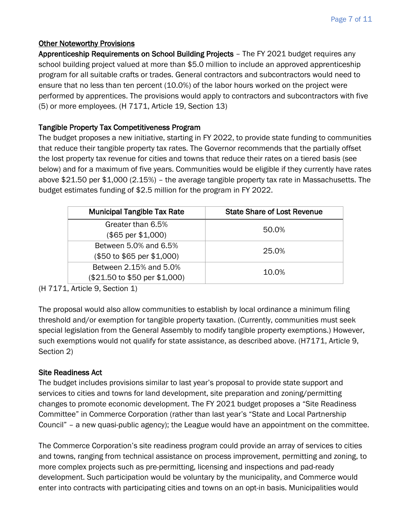## Other Noteworthy Provisions

Apprenticeship Requirements on School Building Projects – The FY 2021 budget requires any school building project valued at more than \$5.0 million to include an approved apprenticeship program for all suitable crafts or trades. General contractors and subcontractors would need to ensure that no less than ten percent (10.0%) of the labor hours worked on the project were performed by apprentices. The provisions would apply to contractors and subcontractors with five (5) or more employees. (H 7171, Article 19, Section 13)

## Tangible Property Tax Competitiveness Program

The budget proposes a new initiative, starting in FY 2022, to provide state funding to communities that reduce their tangible property tax rates. The Governor recommends that the partially offset the lost property tax revenue for cities and towns that reduce their rates on a tiered basis (see below) and for a maximum of five years. Communities would be eligible if they currently have rates above \$21.50 per \$1,000 (2.15%) – the average tangible property tax rate in Massachusetts. The budget estimates funding of \$2.5 million for the program in FY 2022.

| <b>Municipal Tangible Tax Rate</b>                      | State Share of Lost Revenue |
|---------------------------------------------------------|-----------------------------|
| Greater than 6.5%<br>(\$65 per \$1,000)                 | 50.0%                       |
| Between 5.0% and 6.5%<br>(\$50 to \$65 per \$1,000)     | 25.0%                       |
| Between 2.15% and 5.0%<br>(\$21.50 to \$50 per \$1,000) | 10.0%                       |

(H 7171, Article 9, Section 1)

The proposal would also allow communities to establish by local ordinance a minimum filing threshold and/or exemption for tangible property taxation. (Currently, communities must seek special legislation from the General Assembly to modify tangible property exemptions.) However, such exemptions would not qualify for state assistance, as described above. (H7171, Article 9, Section 2)

## Site Readiness Act

The budget includes provisions similar to last year's proposal to provide state support and services to cities and towns for land development, site preparation and zoning/permitting changes to promote economic development. The FY 2021 budget proposes a "Site Readiness Committee" in Commerce Corporation (rather than last year's "State and Local Partnership Council" – a new quasi-public agency); the League would have an appointment on the committee.

The Commerce Corporation's site readiness program could provide an array of services to cities and towns, ranging from technical assistance on process improvement, permitting and zoning, to more complex projects such as pre-permitting, licensing and inspections and pad-ready development. Such participation would be voluntary by the municipality, and Commerce would enter into contracts with participating cities and towns on an opt-in basis. Municipalities would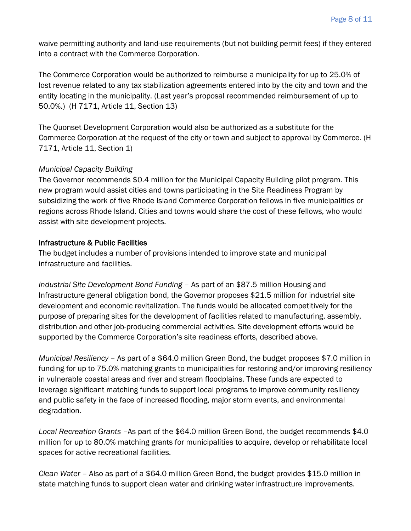waive permitting authority and land-use requirements (but not building permit fees) if they entered into a contract with the Commerce Corporation.

The Commerce Corporation would be authorized to reimburse a municipality for up to 25.0% of lost revenue related to any tax stabilization agreements entered into by the city and town and the entity locating in the municipality. (Last year's proposal recommended reimbursement of up to 50.0%.) (H 7171, Article 11, Section 13)

The Quonset Development Corporation would also be authorized as a substitute for the Commerce Corporation at the request of the city or town and subject to approval by Commerce. (H 7171, Article 11, Section 1)

## *Municipal Capacity Building*

The Governor recommends \$0.4 million for the Municipal Capacity Building pilot program. This new program would assist cities and towns participating in the Site Readiness Program by subsidizing the work of five Rhode Island Commerce Corporation fellows in five municipalities or regions across Rhode Island. Cities and towns would share the cost of these fellows, who would assist with site development projects.

#### Infrastructure & Public Facilities

The budget includes a number of provisions intended to improve state and municipal infrastructure and facilities.

*Industrial Site Development Bond Funding* – As part of an \$87.5 million Housing and Infrastructure general obligation bond, the Governor proposes \$21.5 million for industrial site development and economic revitalization. The funds would be allocated competitively for the purpose of preparing sites for the development of facilities related to manufacturing, assembly, distribution and other job-producing commercial activities. Site development efforts would be supported by the Commerce Corporation's site readiness efforts, described above.

*Municipal Resiliency –* As part of a \$64.0 million Green Bond, the budget proposes \$7.0 million in funding for up to 75.0% matching grants to municipalities for restoring and/or improving resiliency in vulnerable coastal areas and river and stream floodplains. These funds are expected to leverage significant matching funds to support local programs to improve community resiliency and public safety in the face of increased flooding, major storm events, and environmental degradation.

*Local Recreation Grants* –As part of the \$64.0 million Green Bond, the budget recommends \$4.0 million for up to 80.0% matching grants for municipalities to acquire, develop or rehabilitate local spaces for active recreational facilities.

*Clean Water –* Also as part of a \$64.0 million Green Bond, the budget provides \$15.0 million in state matching funds to support clean water and drinking water infrastructure improvements.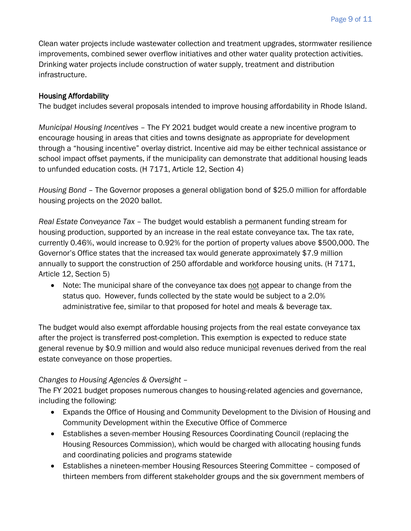Clean water projects include wastewater collection and treatment upgrades, stormwater resilience improvements, combined sewer overflow initiatives and other water quality protection activities. Drinking water projects include construction of water supply, treatment and distribution infrastructure.

## Housing Affordability

The budget includes several proposals intended to improve housing affordability in Rhode Island.

*Municipal Housing Incentives* – The FY 2021 budget would create a new incentive program to encourage housing in areas that cities and towns designate as appropriate for development through a "housing incentive" overlay district. Incentive aid may be either technical assistance or school impact offset payments, if the municipality can demonstrate that additional housing leads to unfunded education costs. (H 7171, Article 12, Section 4)

*Housing Bond* – The Governor proposes a general obligation bond of \$25.0 million for affordable housing projects on the 2020 ballot.

*Real Estate Conveyance Tax* – The budget would establish a permanent funding stream for housing production, supported by an increase in the real estate conveyance tax. The tax rate, currently 0.46%, would increase to 0.92% for the portion of property values above \$500,000. The Governor's Office states that the increased tax would generate approximately \$7.9 million annually to support the construction of 250 affordable and workforce housing units. (H 7171, Article 12, Section 5)

• Note: The municipal share of the conveyance tax does not appear to change from the status quo. However, funds collected by the state would be subject to a 2.0% administrative fee, similar to that proposed for hotel and meals & beverage tax.

The budget would also exempt affordable housing projects from the real estate conveyance tax after the project is transferred post-completion. This exemption is expected to reduce state general revenue by \$0.9 million and would also reduce municipal revenues derived from the real estate conveyance on those properties.

## *Changes to Housing Agencies & Oversight* –

The FY 2021 budget proposes numerous changes to housing-related agencies and governance, including the following:

- Expands the Office of Housing and Community Development to the Division of Housing and Community Development within the Executive Office of Commerce
- Establishes a seven-member Housing Resources Coordinating Council (replacing the Housing Resources Commission), which would be charged with allocating housing funds and coordinating policies and programs statewide
- Establishes a nineteen-member Housing Resources Steering Committee composed of thirteen members from different stakeholder groups and the six government members of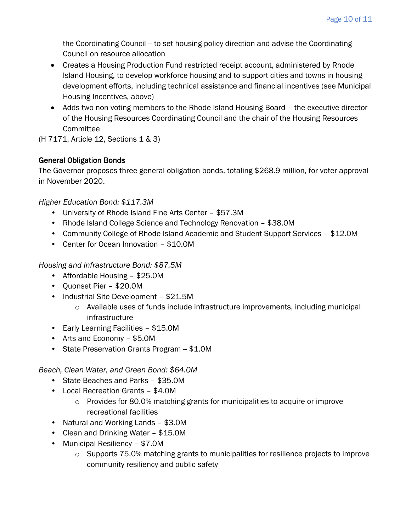the Coordinating Council -- to set housing policy direction and advise the Coordinating Council on resource allocation

- Creates a Housing Production Fund restricted receipt account, administered by Rhode Island Housing, to develop workforce housing and to support cities and towns in housing development efforts, including technical assistance and financial incentives (see Municipal Housing Incentives, above)
- Adds two non-voting members to the Rhode Island Housing Board the executive director of the Housing Resources Coordinating Council and the chair of the Housing Resources **Committee**

(H 7171, Article 12, Sections 1 & 3)

## General Obligation Bonds

The Governor proposes three general obligation bonds, totaling \$268.9 million, for voter approval in November 2020.

*Higher Education Bond: \$117.3M*

- University of Rhode Island Fine Arts Center \$57.3M
- Rhode Island College Science and Technology Renovation \$38.0M
- Community College of Rhode Island Academic and Student Support Services \$12.0M
- Center for Ocean Innovation \$10.0M

*Housing and Infrastructure Bond: \$87.5M*

- Affordable Housing \$25.0M
- Quonset Pier \$20.0M
- Industrial Site Development \$21.5M
	- o Available uses of funds include infrastructure improvements, including municipal infrastructure
- Early Learning Facilities \$15.0M
- Arts and Economy \$5.0M
- State Preservation Grants Program -- \$1.0M

*Beach, Clean Water, and Green Bond: \$64.0M*

- State Beaches and Parks \$35.0M
- Local Recreation Grants \$4.0M
	- o Provides for 80.0% matching grants for municipalities to acquire or improve recreational facilities
- Natural and Working Lands \$3.0M
- Clean and Drinking Water \$15.0M
- Municipal Resiliency \$7.0M
	- $\circ$  Supports 75.0% matching grants to municipalities for resilience projects to improve community resiliency and public safety